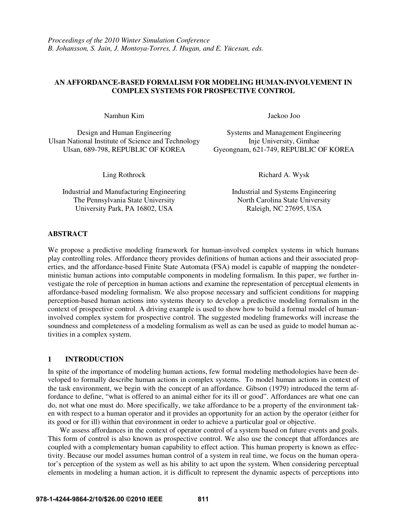## **AN AFFORDANCE-BASED FORMALISM FOR MODELING HUMAN-INVOLVEMENT IN COMPLEX SYSTEMS FOR PROSPECTIVE CONTROL**

Namhun Kim Jaekoo Joo

Ulsan National Institute of Science and Technology Inje University, Gimhae

Industrial and Manufacturing Engineering Industrial and Systems Engineering The Pennsylvania State University<br>
University Park, PA 16802, USA<br>
Raleigh, NC 27695, USA<br>
Raleigh, NC 27695, USA University Park, PA 16802, USA

Design and Human Engineering Systems and Management Engineering Ulsan, 689-798, REPUBLIC OF KOREA Gyeongnam, 621-749, REPUBLIC OF KOREA

Ling Rothrock Richard A. Wysk

## **ABSTRACT**

We propose a predictive modeling framework for human-involved complex systems in which humans play controlling roles. Affordance theory provides definitions of human actions and their associated properties, and the affordance-based Finite State Automata (FSA) model is capable of mapping the nondeterministic human actions into computable components in modeling formalism. In this paper, we further investigate the role of perception in human actions and examine the representation of perceptual elements in affordance-based modeling formalism. We also propose necessary and sufficient conditions for mapping perception-based human actions into systems theory to develop a predictive modeling formalism in the context of prospective control. A driving example is used to show how to build a formal model of humaninvolved complex system for prospective control. The suggested modeling frameworks will increase the soundness and completeness of a modeling formalism as well as can be used as guide to model human activities in a complex system.

# **1 INTRODUCTION**

In spite of the importance of modeling human actions, few formal modeling methodologies have been developed to formally describe human actions in complex systems. To model human actions in context of the task environment, we begin with the concept of an affordance. Gibson (1979) introduced the term affordance to define, "what is offered to an animal either for its ill or good". Affordances are what one can do, not what one must do. More specifically, we take affordance to be a property of the environment taken with respect to a human operator and it provides an opportunity for an action by the operator (either for its good or for ill) within that environment in order to achieve a particular goal or objective.

We assess affordances in the context of operator control of a system based on future events and goals. This form of control is also known as prospective control. We also use the concept that affordances are coupled with a complementary human capability to effect action. This human property is known as effectivity. Because our model assumes human control of a system in real time, we focus on the human operator's perception of the system as well as his ability to act upon the system. When considering perceptual elements in modeling a human action, it is difficult to represent the dynamic aspects of perceptions into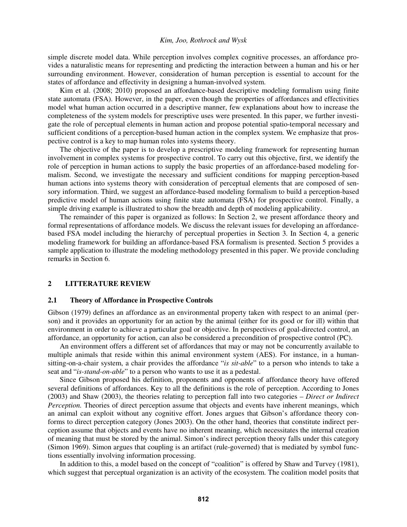simple discrete model data. While perception involves complex cognitive processes, an affordance provides a naturalistic means for representing and predicting the interaction between a human and his or her surrounding environment. However, consideration of human perception is essential to account for the states of affordance and effectivity in designing a human-involved system.

 Kim et al. (2008; 2010) proposed an affordance-based descriptive modeling formalism using finite state automata (FSA). However, in the paper, even though the properties of affordances and effectivities model what human action occurred in a descriptive manner, few explanations about how to increase the completeness of the system models for prescriptive uses were presented. In this paper, we further investigate the role of perceptual elements in human action and propose potential spatio-temporal necessary and sufficient conditions of a perception-based human action in the complex system. We emphasize that prospective control is a key to map human roles into systems theory.

 The objective of the paper is to develop a prescriptive modeling framework for representing human involvement in complex systems for prospective control. To carry out this objective, first, we identify the role of perception in human actions to supply the basic properties of an affordance-based modeling formalism. Second, we investigate the necessary and sufficient conditions for mapping perception-based human actions into systems theory with consideration of perceptual elements that are composed of sensory information. Third, we suggest an affordance-based modeling formalism to build a perception-based predictive model of human actions using finite state automata (FSA) for prospective control. Finally, a simple driving example is illustrated to show the breadth and depth of modeling applicability.

 The remainder of this paper is organized as follows: In Section 2, we present affordance theory and formal representations of affordance models. We discuss the relevant issues for developing an affordancebased FSA model including the hierarchy of perceptual properties in Section 3. In Section 4, a generic modeling framework for building an affordance-based FSA formalism is presented. Section 5 provides a sample application to illustrate the modeling methodology presented in this paper. We provide concluding remarks in Section 6.

#### **2 LITTERATURE REVIEW**

#### **2.1 Theory of Affordance in Prospective Controls**

Gibson (1979) defines an affordance as an environmental property taken with respect to an animal (person) and it provides an opportunity for an action by the animal (either for its good or for ill) within that environment in order to achieve a particular goal or objective. In perspectives of goal-directed control, an affordance, an opportunity for action, can also be considered a precondition of prospective control (PC).

 An environment offers a different set of affordances that may or may not be concurrently available to multiple animals that reside within this animal environment system (AES). For instance, in a humansitting-on-a-chair system, a chair provides the affordance "*is sit-able*" to a person who intends to take a seat and "*is-stand-on-able*" to a person who wants to use it as a pedestal.

 Since Gibson proposed his definition, proponents and opponents of affordance theory have offered several definitions of affordances. Key to all the definitions is the role of perception. According to Jones (2003) and Shaw (2003), the theories relating to perception fall into two categories – *Direct or Indirect Perception.* Theories of direct perception assume that objects and events have inherent meanings, which an animal can exploit without any cognitive effort. Jones argues that Gibson's affordance theory conforms to direct perception category (Jones 2003). On the other hand, theories that constitute indirect perception assume that objects and events have no inherent meaning, which necessitates the internal creation of meaning that must be stored by the animal. Simon's indirect perception theory falls under this category (Simon 1969). Simon argues that coupling is an artifact (rule-governed) that is mediated by symbol functions essentially involving information processing.

 In addition to this, a model based on the concept of "coalition" is offered by Shaw and Turvey (1981), which suggest that perceptual organization is an activity of the ecosystem. The coalition model posits that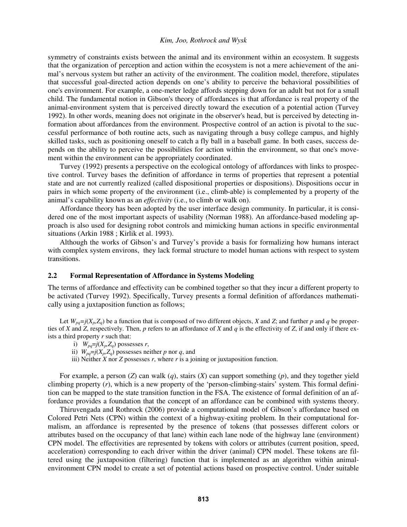symmetry of constraints exists between the animal and its environment within an ecosystem. It suggests that the organization of perception and action within the ecosystem is not a mere achievement of the animal's nervous system but rather an activity of the environment. The coalition model, therefore, stipulates that successful goal-directed action depends on one's ability to perceive the behavioral possibilities of one's environment. For example, a one-meter ledge affords stepping down for an adult but not for a small child. The fundamental notion in Gibson's theory of affordances is that affordance is real property of the animal-environment system that is perceived directly toward the execution of a potential action (Turvey 1992). In other words, meaning does not originate in the observer's head, but is perceived by detecting information about affordances from the environment. Prospective control of an action is pivotal to the successful performance of both routine acts, such as navigating through a busy college campus, and highly skilled tasks, such as positioning oneself to catch a fly ball in a baseball game. In both cases, success depends on the ability to perceive the possibilities for action within the environment, so that one's movement within the environment can be appropriately coordinated.

 Turvey (1992) presents a perspective on the ecological ontology of affordances with links to prospective control. Turvey bases the definition of affordance in terms of properties that represent a potential state and are not currently realized (called dispositional properties or dispositions). Dispositions occur in pairs in which some property of the environment (i.e., climb-able) is complemented by a property of the animal's capability known as an *effectivity* (i.e., to climb or walk on).

 Affordance theory has been adopted by the user interface design community. In particular, it is considered one of the most important aspects of usability (Norman 1988). An affordance-based modeling approach is also used for designing robot controls and mimicking human actions in specific environmental situations (Arkin 1988 ; Kirlik et al. 1993).

 Although the works of Gibson's and Turvey's provide a basis for formalizing how humans interact with complex system environs, they lack formal structure to model human actions with respect to system transitions.

#### **2.2 Formal Representation of Affordance in Systems Modeling**

The terms of affordance and effectivity can be combined together so that they incur a different property to be activated (Turvey 1992). Specifically, Turvey presents a formal definition of affordances mathematically using a juxtaposition function as follows;

Let  $W_{pq}=j(X_p, Z_q)$  be a function that is composed of two different objects, *X* and *Z*; and further *p* and *q* be properties of *X* and *Z*, respectively. Then, *p* refers to an affordance of *X* and *q* is the effectivity of *Z*, if and only if there exists a third property *r* such that:

- i)  $W_{pq} = j(X_p, Z_q)$  possesses *r*,
- ii)  $W_{pq} = j(X_p, Z_q)$  possesses neither *p* nor *q*, and
- iii) Neither *X* nor *Z* possesses *r*, where *r* is a joining or juxtaposition function.

 For example, a person (*Z*) can walk (*q*), stairs (*X*) can support something (*p*), and they together yield climbing property (*r*), which is a new property of the 'person-climbing-stairs' system. This formal definition can be mapped to the state transition function in the FSA. The existence of formal definition of an affordance provides a foundation that the concept of an affordance can be combined with systems theory.

 Thiruvengada and Rothrock (2006) provide a computational model of Gibson's affordance based on Colored Petri Nets (CPN) within the context of a highway-exiting problem. In their computational formalism, an affordance is represented by the presence of tokens (that possesses different colors or attributes based on the occupancy of that lane) within each lane node of the highway lane (environment) CPN model. The effectivities are represented by tokens with colors or attributes (current position, speed, acceleration) corresponding to each driver within the driver (animal) CPN model. These tokens are filtered using the juxtaposition (filtering) function that is implemented as an algorithm within animalenvironment CPN model to create a set of potential actions based on prospective control. Under suitable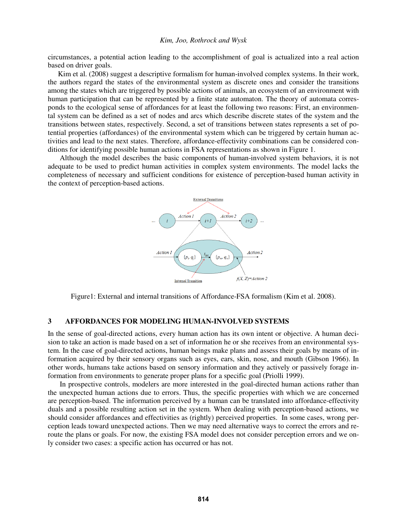circumstances, a potential action leading to the accomplishment of goal is actualized into a real action based on driver goals.

 Kim et al. (2008) suggest a descriptive formalism for human-involved complex systems. In their work, the authors regard the states of the environmental system as discrete ones and consider the transitions among the states which are triggered by possible actions of animals, an ecosystem of an environment with human participation that can be represented by a finite state automaton. The theory of automata corresponds to the ecological sense of affordances for at least the following two reasons: First, an environmental system can be defined as a set of nodes and arcs which describe discrete states of the system and the transitions between states, respectively. Second, a set of transitions between states represents a set of potential properties (affordances) of the environmental system which can be triggered by certain human activities and lead to the next states. Therefore, affordance-effectivity combinations can be considered conditions for identifying possible human actions in FSA representations as shown in Figure 1.

 Although the model describes the basic components of human-involved system behaviors, it is not adequate to be used to predict human activities in complex system environments. The model lacks the completeness of necessary and sufficient conditions for existence of perception-based human activity in the context of perception-based actions.



Figure1: External and internal transitions of Affordance-FSA formalism (Kim et al. 2008).

#### **3 AFFORDANCES FOR MODELING HUMAN-INVOLVED SYSTEMS**

In the sense of goal-directed actions, every human action has its own intent or objective. A human decision to take an action is made based on a set of information he or she receives from an environmental system. In the case of goal-directed actions, human beings make plans and assess their goals by means of information acquired by their sensory organs such as eyes, ears, skin, nose, and mouth (Gibson 1966). In other words, humans take actions based on sensory information and they actively or passively forage information from environments to generate proper plans for a specific goal (Priolli 1999).

 In prospective controls, modelers are more interested in the goal-directed human actions rather than the unexpected human actions due to errors. Thus, the specific properties with which we are concerned are perception-based. The information perceived by a human can be translated into affordance-effectivity duals and a possible resulting action set in the system. When dealing with perception-based actions, we should consider affordances and effectivities as (rightly) perceived properties. In some cases, wrong perception leads toward unexpected actions. Then we may need alternative ways to correct the errors and reroute the plans or goals. For now, the existing FSA model does not consider perception errors and we only consider two cases: a specific action has occurred or has not.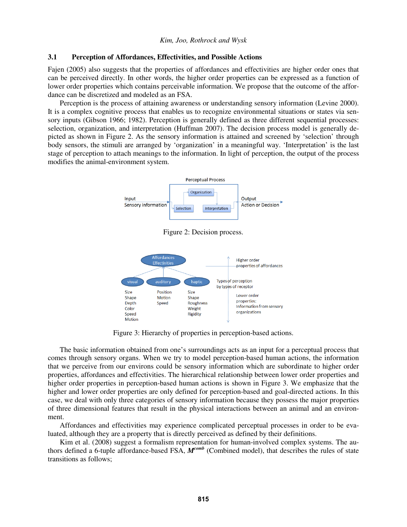#### **3.1 Perception of Affordances, Effectivities, and Possible Actions**

Fajen (2005) also suggests that the properties of affordances and effectivities are higher order ones that can be perceived directly. In other words, the higher order properties can be expressed as a function of lower order properties which contains perceivable information. We propose that the outcome of the affordance can be discretized and modeled as an FSA.

 Perception is the process of attaining awareness or understanding sensory information (Levine 2000). It is a complex cognitive process that enables us to recognize environmental situations or states via sensory inputs (Gibson 1966; 1982). Perception is generally defined as three different sequential processes: selection, organization, and interpretation (Huffman 2007). The decision process model is generally depicted as shown in Figure 2. As the sensory information is attained and screened by 'selection' through body sensors, the stimuli are arranged by 'organization' in a meaningful way. 'Interpretation' is the last stage of perception to attach meanings to the information. In light of perception, the output of the process modifies the animal-environment system.



Figure 2: Decision process.



Figure 3: Hierarchy of properties in perception-based actions.

 The basic information obtained from one's surroundings acts as an input for a perceptual process that comes through sensory organs. When we try to model perception-based human actions, the information that we perceive from our environs could be sensory information which are subordinate to higher order properties, affordances and effectivities. The hierarchical relationship between lower order properties and higher order properties in perception-based human actions is shown in Figure 3. We emphasize that the higher and lower order properties are only defined for perception-based and goal-directed actions. In this case, we deal with only three categories of sensory information because they possess the major properties of three dimensional features that result in the physical interactions between an animal and an environment.

 Affordances and effectivities may experience complicated perceptual processes in order to be evaluated, although they are a property that is directly perceived as defined by their definitions.

Kim et al. (2008) suggest a formalism representation for human-involved complex systems. The authors defined a 6-tuple affordance-based FSA,  $M^{comb}$  (Combined model), that describes the rules of state transitions as follows;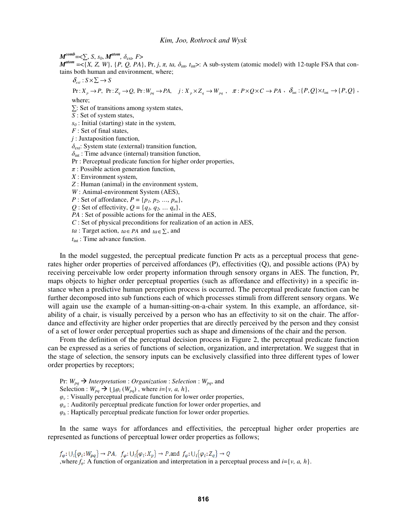$M^{comb}=<\sum$ , *S*, *s*<sub>0</sub>,  $M^{atom}$ ,  $\delta_{ext}$ , *F*>

 $M^{atom} = \{ \{X, Z, W\}, \{P, Q, PA\}, \text{Pr}, j, \pi, ta, \delta_{\text{int}} t_{\text{int}} \geq \}$ . A sub-system (atomic model) with 12-tuple FSA that contains both human and environment, where;

 $\delta_{\text{ext}}$ :  $S \times \Sigma \rightarrow S$  $\Pr:X_p \to P$ ,  $\Pr: Z_q \to Q$ ,  $\Pr: W_{pq} \to PA$ ,  $j: X_p \times Z_q \to W_{pq}$ ,  $\pi: P \times Q \times C \to PA$ ,  $\delta_{int}: \{P, Q\} \times t_{int} \to \{P, Q\}$ , where; ∑: Set of transitions among system states, *S* : Set of system states,  $s_0$ : Initial (starting) state in the system, *F* : Set of final states, *j* : Juxtaposition function, *δ*ext: System state (external) transition function, *δ*int : Time advance (internal) transition function, Pr : Perceptual predicate function for higher order properties, *π* : Possible action generation function, *X* : Environment system, *Z* : Human (animal) in the environment system, *W* : Animal-environment System (AES), *P* : Set of affordance,  $P = \{p_1, p_2, ..., p_m\}$ , *Q* : Set of effectivity,  $Q = \{q_1, q_2, ..., q_n\},\$ *PA* : Set of possible actions for the animal in the AES, *C* : Set of physical preconditions for realization of an action in AES, *ta* : Target action,  $ta \in PA$  and  $ta \in \sum$ , and *t*int : Time advance function.

 In the model suggested, the perceptual predicate function Pr acts as a perceptual process that generates higher order properties of perceived affordances (P), effectivities (Q), and possible actions (PA) by receiving perceivable low order property information through sensory organs in AES. The function, Pr, maps objects to higher order perceptual properties (such as affordance and effectivity) in a specific instance when a predictive human perception process is occurred. The perceptual predicate function can be further decomposed into sub functions each of which processes stimuli from different sensory organs. We will again use the example of a human-sitting-on-a-chair system. In this example, an affordance, sitability of a chair, is visually perceived by a person who has an effectivity to sit on the chair. The affordance and effectivity are higher order properties that are directly perceived by the person and they consist of a set of lower order perceptual properties such as shape and dimensions of the chair and the person.

 From the definition of the perceptual decision process in Figure 2, the perceptual predicate function can be expressed as a series of functions of selection, organization, and interpretation. We suggest that in the stage of selection, the sensory inputs can be exclusively classified into three different types of lower order properties by receptors;

Pr:  $W_{pq} \rightarrow$  Interpretation : Organization : Selection :  $W_{pq}$ , and

Selection :  $W_{pq} \rightarrow \bigcup_i \varphi_i(W_{pq})$ , where  $i = \{v, a, h\}$ ,

 $\varphi$ <sup>*v*</sup> : Visually perceptual predicate function for lower order properties,

*φa* : Auditorily perceptual predicate function for lower order properties, and

*φh* : Haptically perceptual predicate function for lower order properties.

 In the same ways for affordances and effectivities, the perceptual higher order properties are represented as functions of perceptual lower order properties as follows;

 $f_{\varphi}$ :  $\bigcup_i {\{\varphi_i : W_{pq}\}} \to PA$ ,  $f_{\varphi}$ :  $\bigcup_i {\{\varphi_i : X_p\}} \to P$ , and  $f_{\varphi}$ :  $\bigcup_i {\{\varphi_i : Z_q\}} \to Q$ , where  $f_{\varphi}$ : A function of organization and interpretation in a perceptual process and *i*={*v, a, h*}.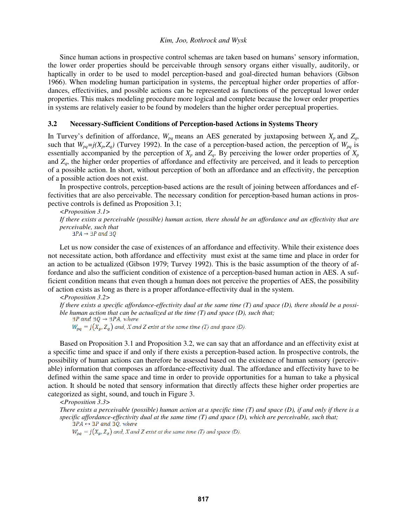Since human actions in prospective control schemas are taken based on humans' sensory information, the lower order properties should be perceivable through sensory organs either visually, auditorily, or haptically in order to be used to model perception-based and goal-directed human behaviors (Gibson 1966). When modeling human participation in systems, the perceptual higher order properties of affordances, effectivities, and possible actions can be represented as functions of the perceptual lower order properties. This makes modeling procedure more logical and complete because the lower order properties in systems are relatively easier to be found by modelers than the higher order perceptual properties.

#### **3.2 Necessary-Sufficient Conditions of Perception-based Actions in Systems Theory**

In Turvey's definition of affordance,  $W_{pq}$  means an AES generated by juxtaposing between  $X_p$  and  $Z_q$ , such that  $W_{pq}=j(X_p, Z_q)$  (Turvey 1992). In the case of a perception-based action, the perception of  $W_{pq}$  is essentially accompanied by the perception of  $X_p$  and  $Z_q$ . By perceiving the lower order properties of  $X_p$ and *Zq*, the higher order properties of affordance and effectivity are perceived, and it leads to perception of a possible action. In short, without perception of both an affordance and an effectivity, the perception of a possible action does not exist.

 In prospective controls, perception-based actions are the result of joining between affordances and effectivities that are also perceivable. The necessary condition for perception-based human actions in prospective controls is defined as Proposition 3.1;

*<Proposition 3.1>* 

*If there exists a perceivable (possible) human action, there should be an affordance and an effectivity that are perceivable, such that*   $\exists PA \rightarrow \exists P \ and \ \exists Q$ 

 Let us now consider the case of existences of an affordance and effectivity. While their existence does not necessitate action, both affordance and effectivity must exist at the same time and place in order for an action to be actualized (Gibson 1979; Turvey 1992). This is the basic assumption of the theory of affordance and also the sufficient condition of existence of a perception-based human action in AES. A sufficient condition means that even though a human does not perceive the properties of AES, the possibility of action exists as long as there is a proper affordance-effectivity dual in the system.

*<Proposition 3.2> If there exists a specific affordance-effectivity dual at the same time (T) and space (D), there should be a possible human action that can be actualized at the time (T) and space (D), such that;*  $\exists P$  and  $\exists Q \rightarrow \exists PA$ , where  $W_{pq} = j(X_p, Z_q)$  and, *X* and *Z* exist at the same time (*T*) and space (*D*).

Based on Proposition 3.1 and Proposition 3.2, we can say that an affordance and an effectivity exist at a specific time and space if and only if there exists a perception-based action. In prospective controls, the possibility of human actions can therefore be assessed based on the existence of human sensory (perceivable) information that composes an affordance-effectivity dual. The affordance and effectivity have to be defined within the same space and time in order to provide opportunities for a human to take a physical action. It should be noted that sensory information that directly affects these higher order properties are categorized as sight, sound, and touch in Figure 3.

*<Proposition 3.3>* 

*There exists a perceivable (possible) human action at a specific time (T) and space (D), if and only if there is a specific affordance-effectivity dual at the same time (T) and space (D), which are perceivable, such that;*  $\exists PA \leftrightarrow \exists P$  and  $\exists O$ , where

 $W_{\nu a} = j(X_{\nu}, Z_a)$  and, X and Z exist at the same time (T) and space (D).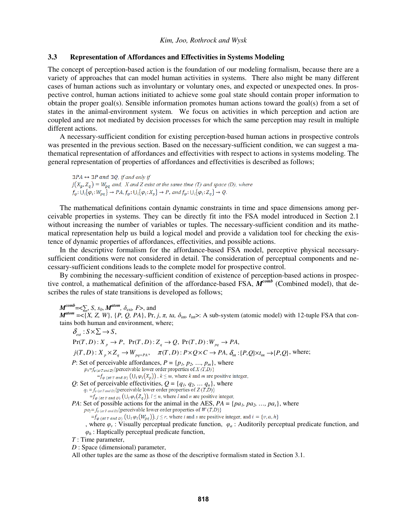### **3.3 Representation of Affordances and Effectivities in Systems Modeling**

The concept of perception-based action is the foundation of our modeling formalism, because there are a variety of approaches that can model human activities in systems. There also might be many different cases of human actions such as involuntary or voluntary ones, and expected or unexpected ones. In prospective control, human actions initiated to achieve some goal state should contain proper information to obtain the proper goal(s). Sensible information promotes human actions toward the goal(s) from a set of states in the animal-environment system. We focus on activities in which perception and action are coupled and are not mediated by decision processes for which the same perception may result in multiple different actions.

 A necessary-sufficient condition for existing perception-based human actions in prospective controls was presented in the previous section. Based on the necessary-sufficient condition, we can suggest a mathematical representation of affordances and effectivities with respect to actions in systems modeling. The general representation of properties of affordances and effectivities is described as follows;

 $\exists PA \leftrightarrow \exists P \text{ and } \exists Q \text{, if and only if }$  $j(X_p, Z_q) = W_{pq}$  and, X and Z exist at the same time (T) and space (D), where<br>  $f_\varphi: \bigcup_i \{\varphi_i: W_{pq}\} \to PA, f_\varphi: \bigcup_i \{\varphi_i: X_p\} \to P,$  and  $f_\varphi: \bigcup_i \{\varphi_i: Z_q\} \to Q.$ 

 The mathematical definitions contain dynamic constraints in time and space dimensions among perceivable properties in systems. They can be directly fit into the FSA model introduced in Section 2.1 without increasing the number of variables or tuples. The necessary-sufficient condition and its mathematical representation help us build a logical model and provide a validation tool for checking the existence of dynamic properties of affordances, effectivities, and possible actions.

 In the descriptive formalism for the affordance-based FSA model, perceptive physical necessarysufficient conditions were not considered in detail. The consideration of perceptual components and necessary-sufficient conditions leads to the complete model for prospective control.

 By combining the necessary-sufficient condition of existence of perception-based actions in prospective control, a mathematical definition of the affordance-based FSA,  $M^{comb}$  (Combined model), that describes the rules of state transitions is developed as follows;

 $M^{comb}=<\sum$ , *S*, *s*<sub>0</sub>,  $M^{atom}$ ,  $\delta_{ext}$ , *F*>, and

 $M^{atom} = \langle [X, Z, W], \{P, Q, PA\}, \text{Pr}, j, \pi, ta, \delta_{\text{int}} t_{\text{int}} \rangle$ : A sub-system (atomic model) with 12-tuple FSA that contains both human and environment, where;

$$
\delta_{ext}: S \times \sum \rightarrow S,
$$
\n
$$
\Pr(T, D): X_p \rightarrow P, \Pr(T, D): Z_q \rightarrow Q, \Pr(T, D): W_{pq} \rightarrow PA,
$$
\n
$$
j(T, D): X_p \times Z_q \rightarrow W_{pq=PA}, \pi(T, D): P \times Q \times C \rightarrow PA, \delta_{int}: \{P, Q\} \times t_{int} \rightarrow \{P, Q\}, \text{ where:}
$$
\n
$$
P: Set of perceivable affordances, P = \{p_1, p_2, ..., p_m\}, \text{ where}
$$
\n
$$
p_k = f_{\phi(at T and D)}
$$
\n
$$
= f_{\phi(at T and D)}
$$
\n
$$
= f_{\phi(at T and D)}
$$
\n
$$
\{v_{\phi(t)}(x_p)\}, k \le m, \text{ where } k \text{ and } m \text{ are positive integer},
$$
\n
$$
Q: Set of perceivable effectiveness, Q = \{q_1, q_2, ..., q_n\}, \text{ where}
$$
\n
$$
q_i = f_{\phi(at T and D)}
$$
\n
$$
\{v_{\phi(t)}(z_q)\}, l \le n, \text{ where } l \text{ and } n \text{ are positive integer},
$$
\n
$$
PA: Set of possible actions for the animal in the AES, PA = \{pa_1, pa_2, ..., pa_s\}, \text{ where}
$$
\n
$$
p_{A} = f_{\phi(at T and D)}
$$
\n
$$
\{v_{\phi(t)}(w_{pq})\}, j \le n, \text{ where } l \text{ and } n \text{ are positive integer},
$$
\n
$$
P_{A}:\text{Set of possible actions for the animal in the AES, PA = \{pa_1, pa_2, ..., pa_s\}, \text{ where}
$$
\n
$$
p_{A} = f_{\phi(at T and D)}
$$
\n
$$
\{v_{\phi(t)}(w_{pq})\}, j \le r, \text{ where } i \text{ and } s \text{ are positive integer}, \text{ and } i = \{v, a, h\}
$$
\n
$$
\text{where } \varphi_v: \text{Visually perceptual predicate function, } \varphi_a: \text{Additionally, perceptual predicate function, and}
$$
\n
$$
p_h: \text{Haptically perceptual predicate function,}
$$
\n
$$
T: \text{Time parameter},
$$

*D* : Space (dimensional) parameter,

All other tuples are the same as those of the descriptive formalism stated in Section 3.1.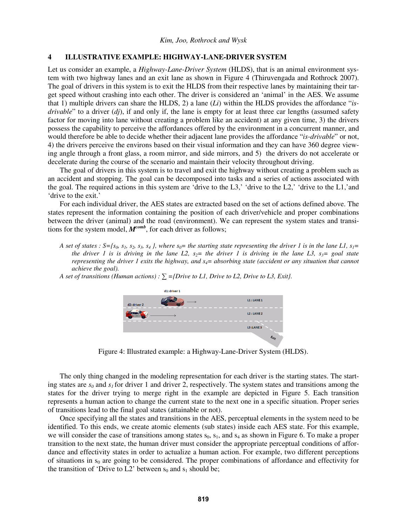### **4 ILLUSTRATIVE EXAMPLE: HIGHWAY-LANE-DRIVER SYSTEM**

Let us consider an example, a *Highway-Lane-Driver System* (HLDS), that is an animal environment system with two highway lanes and an exit lane as shown in Figure 4 (Thiruvengada and Rothrock 2007). The goal of drivers in this system is to exit the HLDS from their respective lanes by maintaining their target speed without crashing into each other. The driver is considered an 'animal' in the AES. We assume that 1) multiple drivers can share the HLDS, 2) a lane (*Li*) within the HLDS provides the affordance "*isdrivable*" to a driver (*dj*), if and only if, the lane is empty for at least three car lengths (assumed safety factor for moving into lane without creating a problem like an accident) at any given time, 3) the drivers possess the capability to perceive the affordances offered by the environment in a concurrent manner, and would therefore be able to decide whether their adjacent lane provides the affordance "*is-drivable*" or not, 4) the drivers perceive the environs based on their visual information and they can have 360 degree viewing angle through a front glass, a room mirror, and side mirrors, and 5) the drivers do not accelerate or decelerate during the course of the scenario and maintain their velocity throughout driving.

 The goal of drivers in this system is to travel and exit the highway without creating a problem such as an accident and stopping. The goal can be decomposed into tasks and a series of actions associated with the goal. The required actions in this system are 'drive to the L3,' 'drive to the L2,' 'drive to the L1,'and 'drive to the exit.'

 For each individual driver, the AES states are extracted based on the set of actions defined above. The states represent the information containing the position of each driver/vehicle and proper combinations between the driver (animal) and the road (environment). We can represent the system states and transitions for the system model,  $M^{comb}$ , for each driver as follows;

*A set of states :*  $S=\{s_0, s_1, s_2, s_3, s_4\}$ , where  $s_0$  = the starting state representing the driver 1 is in the lane L1,  $s_1$  = *the driver 1 is is driving in the lane L2,*  $s_2$  *the driver 1 is driving in the lane L3,*  $s_3$  *s<sub>3</sub> goal state representing the driver 1 exits the highway, and*  $s_4$  *absorbing state (accident or any situation that cannot achieve the goal).* 

*A set of transitions (Human actions) :*  $\sum$  ={Drive to L1, Drive to L2, Drive to L3, Exit}.



Figure 4: Illustrated example: a Highway-Lane-Driver System (HLDS).

The only thing changed in the modeling representation for each driver is the starting states. The starting states are  $s_0$  and  $s_1$  for driver 1 and driver 2, respectively. The system states and transitions among the states for the driver trying to merge right in the example are depicted in Figure 5. Each transition represents a human action to change the current state to the next one in a specific situation. Proper series of transitions lead to the final goal states (attainable or not).

Once specifying all the states and transitions in the AES, perceptual elements in the system need to be identified. To this ends, we create atomic elements (sub states) inside each AES state. For this example, we will consider the case of transitions among states  $s_0$ ,  $s_1$ , and  $s_4$  as shown in Figure 6. To make a proper transition to the next state, the human driver must consider the appropriate perceptual conditions of affordance and effectivity states in order to actualize a human action. For example, two different perceptions of situations in  $s_0$  are going to be considered. The proper combinations of affordance and effectivity for the transition of 'Drive to L2' between  $s_0$  and  $s_1$  should be;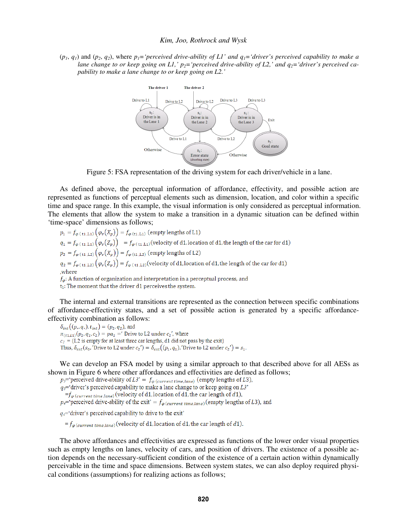$(p_1, q_1)$  and  $(p_2, q_2)$ , where  $p_1$ ='perceived drive-ability of L1' and  $q_1$ ='driver's perceived capability to make a *lane change to or keep going on L1,' p<sub>2</sub>='perceived drive-ability of L2,' and*  $q_2$ *='driver's perceived capability to make a lane change to or keep going on L2.'* 



Figure 5: FSA representation of the driving system for each driver/vehicle in a lane.

As defined above, the perceptual information of affordance, effectivity, and possible action are represented as functions of perceptual elements such as dimension, location, and color within a specific time and space range. In this example, the visual information is only considered as perceptual information. The elements that allow the system to make a transition in a dynamic situation can be defined within 'time-space' dimensions as follows;

 $p_1 = f_{\varphi(t_1, L_1)}\left(\varphi_v(X_p)\right) = f_{\varphi(t_1, L_1)}$  (empty lengths of L1)  $q_1 = f_{\varphi(t_1, L_1)}(\varphi_v(z_p)) = f_{\varphi(t_1, L_1)}($  velocity of d1, location of d1, the length of the car for d1)  $p_2 = f_{\varphi(t_1, L_2)}(\varphi_v(X_p)) = f_{\varphi(t_1, L_2)}$  (empty lengths of L2)  $q_2 = f_{\varphi(\text{t1},\text{L2})}\big(\varphi_v(Z_p)\big) = f_{\varphi(\text{t1},\text{L2})}(\text{velocity of d1},\text{location of d1},\text{the length of the car for d1})$ .where  $f_{\varphi}$ : A function of organization and interpretation in a perceptual process, and

t<sub>1</sub>: The moment that the driver d1 perceives the system.

The internal and external transitions are represented as the connection between specific combinations of affordance-effectivity states, and a set of possible action is generated by a specific affordanceeffectivity combination as follows:<br> $\delta_{int}((p_*, q_*), t_{int}) = (p_2, q_2)$ , and

 $\pi_{(t_1,t_1)}(p_2,q_2,c_2) = pa_2 =$ ' Drive to L2 under  $c_2$ ', where  $c_2 = \{12 \text{ is empty for at least three car lengths, d1 did not pass by the exit}\}$ Thus,  $\delta_{ext}(s_0$ , Drive to L2 under  $c_2$ ) =  $\delta_{ext}((p_1, q_1)$ , Drive to L2 under  $c_2$ ) =  $s_1$ .

We can develop an FSA model by using a similar approach to that described above for all AESs as shown in Figure 6 where other affordances and effectivities are defined as follows;<br> $p_j$ = 'perceived drive-ability of  $L3' = f_{\varphi \text{ (current time, lane)}}$  (empty lengths of  $L3$ ),

- $q_3$ ='driver's perceived capability to make a lane change to or keep going on L3'
- $=f_{\varphi$  (current time, lane) (velocity of d1, location of d1, the car length of d1),

 $p_4$ = perceived drive-ability of the exit' =  $f_{\varphi(current\ time,lane)}$  (empty lengths of L3), and

 $q_4$ ='driver's perceived capability to drive to the exit'

 $=f_{\varphi(current\ time,lane)}$  (velocity of d1, location of d1, the car length of d1).

 The above affordances and effectivities are expressed as functions of the lower order visual properties such as empty lengths on lanes, velocity of cars, and position of drivers. The existence of a possible action depends on the necessary-sufficient condition of the existence of a certain action within dynamically perceivable in the time and space dimensions. Between system states, we can also deploy required physical conditions (assumptions) for realizing actions as follows;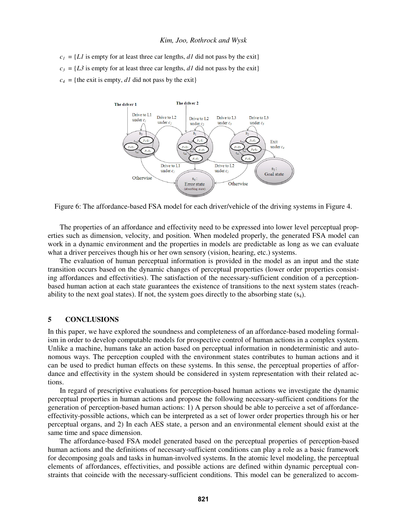$c_1 = \{L1$  is empty for at least three car lengths, *d1* did not pass by the exit}  $c_3 = \{L3$  is empty for at least three car lengths, *d1* did not pass by the exit}  $c_4$  = {the exit is empty, *d1* did not pass by the exit}

> The driver 2 The driver 1 Drive to L1 Drive to L<sub>2</sub> Drive to L3 Drive to L3 Drive to L<sub>2</sub> under  $c_1$ under  $c_1$ under  $c_3$ under  $c_3$ under  $c<sub>1</sub>$ Exit under  $c_4$ Drive to L1 Drive to L2  $S_3$ : under  $c_2$ under  $c_2$ Goal state Otherwise Otherwise Error state

Figure 6: The affordance-based FSA model for each driver/vehicle of the driving systems in Figure 4.

The properties of an affordance and effectivity need to be expressed into lower level perceptual properties such as dimension, velocity, and position. When modeled properly, the generated FSA model can work in a dynamic environment and the properties in models are predictable as long as we can evaluate what a driver perceives though his or her own sensory (vision, hearing, etc.) systems.

The evaluation of human perceptual information is provided in the model as an input and the state transition occurs based on the dynamic changes of perceptual properties (lower order properties consisting affordances and effectivities). The satisfaction of the necessary-sufficient condition of a perceptionbased human action at each state guarantees the existence of transitions to the next system states (reachability to the next goal states). If not, the system goes directly to the absorbing state  $(s_4)$ .

## **5 CONCLUSIONS**

In this paper, we have explored the soundness and completeness of an affordance-based modeling formalism in order to develop computable models for prospective control of human actions in a complex system. Unlike a machine, humans take an action based on perceptual information in nondeterministic and autonomous ways. The perception coupled with the environment states contributes to human actions and it can be used to predict human effects on these systems. In this sense, the perceptual properties of affordance and effectivity in the system should be considered in system representation with their related actions.

 In regard of prescriptive evaluations for perception-based human actions we investigate the dynamic perceptual properties in human actions and propose the following necessary-sufficient conditions for the generation of perception-based human actions: 1) A person should be able to perceive a set of affordanceeffectivity-possible actions, which can be interpreted as a set of lower order properties through his or her perceptual organs, and 2) In each AES state, a person and an environmental element should exist at the same time and space dimension.

The affordance-based FSA model generated based on the perceptual properties of perception-based human actions and the definitions of necessary-sufficient conditions can play a role as a basic framework for decomposing goals and tasks in human-involved systems. In the atomic level modeling, the perceptual elements of affordances, effectivities, and possible actions are defined within dynamic perceptual constraints that coincide with the necessary-sufficient conditions. This model can be generalized to accom-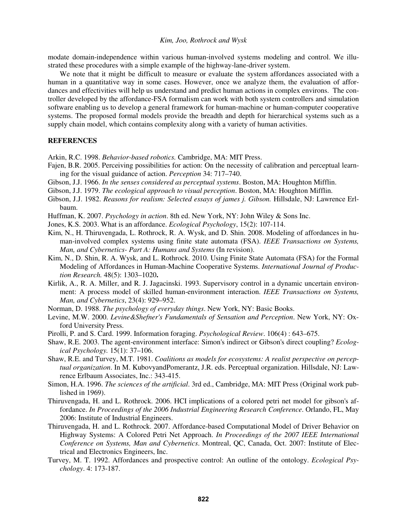modate domain-independence within various human-involved systems modeling and control. We illustrated these procedures with a simple example of the highway-lane-driver system.

We note that it might be difficult to measure or evaluate the system affordances associated with a human in a quantitative way in some cases. However, once we analyze them, the evaluation of affordances and effectivities will help us understand and predict human actions in complex environs. The controller developed by the affordance-FSA formalism can work with both system controllers and simulation software enabling us to develop a general framework for human-machine or human-computer cooperative systems. The proposed formal models provide the breadth and depth for hierarchical systems such as a supply chain model, which contains complexity along with a variety of human activities.

#### **REFERENCES**

Arkin, R.C. 1998. *Behavior-based robotics.* Cambridge, MA: MIT Press.

- Fajen, B.R. 2005. Perceiving possibilities for action: On the necessity of calibration and perceptual learning for the visual guidance of action. *Perception* 34: 717–740.
- Gibson, J.J. 1966. *In the senses considered as perceptual systems*. Boston, MA: Houghton Mifflin.
- Gibson, J.J. 1979. *The ecological approach to visual perception*. Boston, MA: Houghton Mifflin.
- Gibson, J.J. 1982. *Reasons for realism: Selected essays of james j. Gibson.* Hillsdale, NJ: Lawrence Erlbaum.
- Huffman, K. 2007. *Psychology in action*. 8th ed. New York, NY: John Wiley & Sons Inc.
- Jones, K.S. 2003. What is an affordance. *Ecological Psychology*, 15(2): 107-114.
- Kim, N., H. Thiruvengada, L. Rothrock, R. A. Wysk, and D. Shin. 2008. Modeling of affordances in human-involved complex systems using finite state automata (FSA). *IEEE Transactions on Systems, Man, and Cybernetics- Part A: Humans and Systems* (In revision).
- Kim, N., D. Shin, R. A. Wysk, and L. Rothrock. 2010. Using Finite State Automata (FSA) for the Formal Modeling of Affordances in Human-Machine Cooperative Systems. *International Journal of Production Research.* 48(5): 1303–1020**.**
- Kirlik, A., R. A. Miller, and R. J. Jagacinski. 1993. Supervisory control in a dynamic uncertain environment: A process model of skilled human-environment interaction. *IEEE Transactions on Systems, Man, and Cybernetics*, 23(4): 929–952.
- Norman, D. 1988. *The psychology of everyday things*. New York, NY: Basic Books.
- Levine, M.W. 2000. *Levine&Shefner's Fundamentals of Sensation and Perception*. New York, NY: Oxford University Press.
- Pirolli, P. and S. Card. 1999. Information foraging. *Psychological Review*. 106(4) : 643–675.
- Shaw, R.E. 2003. The agent-environment interface: Simon's indirect or Gibson's direct coupling? *Ecological Psychology.* 15(1): 37–106.
- Shaw, R.E. and Turvey, M.T. 1981. *Coalitions as models for ecosystems: A realist perspective on perceptual organization*. In M. KubovyandPomerantz, J.R. eds. Perceptual organization. Hillsdale, NJ: Lawrence Erlbaum Associates, Inc.: 343-415.
- Simon, H.A. 1996. *The sciences of the artificial*. 3rd ed., Cambridge, MA: MIT Press (Original work published in 1969).
- Thiruvengada, H. and L. Rothrock. 2006. HCI implications of a colored petri net model for gibson's affordance. *In Proceedings of the 2006 Industrial Engineering Research Conference*. Orlando, FL, May 2006: Institute of Industrial Engineers.
- Thiruvengada, H. and L. Rothrock. 2007. Affordance-based Computational Model of Driver Behavior on Highway Systems: A Colored Petri Net Approach. *In Proceedings of the 2007 IEEE International Conference on Systems, Man and Cybernetics*. Montreal, QC, Canada, Oct. 2007: Institute of Electrical and Electronics Engineers, Inc.
- Turvey, M. T. 1992. Affordances and prospective control: An outline of the ontology. *Ecological Psychology*. 4: 173-187.